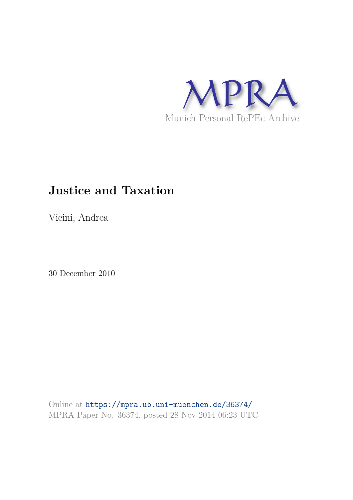

# **Justice and Taxation**

Vicini, Andrea

30 December 2010

Online at https://mpra.ub.uni-muenchen.de/36374/ MPRA Paper No. 36374, posted 28 Nov 2014 06:23 UTC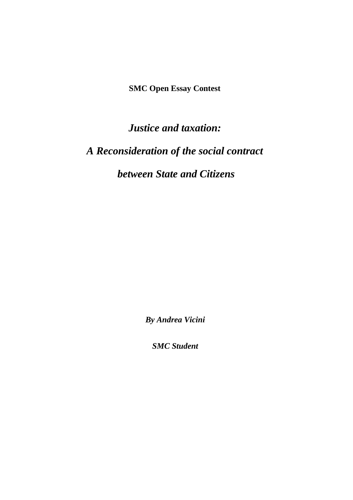**SMC Open Essay Contest** 

*Justice and taxation:* 

## *A Reconsideration of the social contract*

### *between State and Citizens*

*By Andrea Vicini* 

*SMC Student*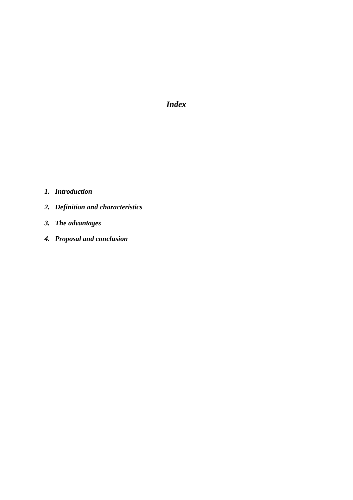*Index*

- *1. Introduction*
- *2. Definition and characteristics*
- *3. The advantages*
- *4. Proposal and conclusion*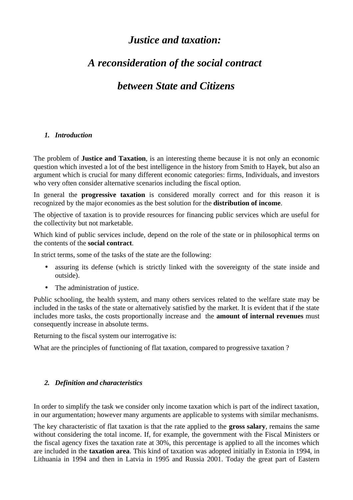### *Justice and taxation:*

## *A reconsideration of the social contract*

### *between State and Citizens*

#### *1. Introduction*

The problem of **Justice and Taxation**, is an interesting theme because it is not only an economic question which invested a lot of the best intelligence in the history from Smith to Hayek, but also an argument which is crucial for many different economic categories: firms, Individuals, and investors who very often consider alternative scenarios including the fiscal option.

In general the **progressive taxation** is considered morally correct and for this reason it is recognized by the major economies as the best solution for the **distribution of income**.

The objective of taxation is to provide resources for financing public services which are useful for the collectivity but not marketable.

Which kind of public services include, depend on the role of the state or in philosophical terms on the contents of the **social contract**.

In strict terms, some of the tasks of the state are the following:

- assuring its defense (which is strictly linked with the sovereignty of the state inside and outside).
- The administration of justice.

Public schooling, the health system, and many others services related to the welfare state may be included in the tasks of the state or alternatively satisfied by the market. It is evident that if the state includes more tasks, the costs proportionally increase and the **amount of internal revenues** must consequently increase in absolute terms.

Returning to the fiscal system our interrogative is:

What are the principles of functioning of flat taxation, compared to progressive taxation ?

#### *2. Definition and characteristics*

In order to simplify the task we consider only income taxation which is part of the indirect taxation, in our argumentation; however many arguments are applicable to systems with similar mechanisms.

The key characteristic of flat taxation is that the rate applied to the **gross salary**, remains the same without considering the total income. If, for example, the government with the Fiscal Ministers or the fiscal agency fixes the taxation rate at 30%, this percentage is applied to all the incomes which are included in the **taxation area**. This kind of taxation was adopted initially in Estonia in 1994, in Lithuania in 1994 and then in Latvia in 1995 and Russia 2001. Today the great part of Eastern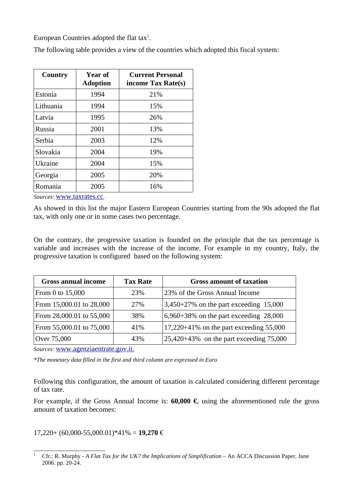European Countries adopted the flat tax<sup>1</sup>.

The following table provides a view of the countries which adopted this fiscal system:

| Year of<br>Country<br><b>Adoption</b> |      | <b>Current Personal</b><br>income Tax Rate(s) |  |
|---------------------------------------|------|-----------------------------------------------|--|
| Estonia                               | 1994 | 21%                                           |  |
| Lithuania                             | 1994 | 15%                                           |  |
| Latvia                                | 1995 | 26%                                           |  |
| Russia                                | 2001 | 13%                                           |  |
| <b>Serbia</b>                         | 2003 | 12%                                           |  |
| Slovakia                              | 2004 | 19%                                           |  |
| Ukraine                               | 2004 | 15%                                           |  |
| Georgia                               | 2005 | 20%                                           |  |
| Romania                               | 2005 | 16%                                           |  |

*Sources:* www.taxrates.cc*.*

As showed in this list the major Eastern European Countries starting from the 90s adopted the flat tax, with only one or in some cases two percentage.

On the contrary, the progressive taxation is founded on the principle that the tax percentage is variable and increases with the increase of the income. For example in my country, Italy, the progressive taxation is configured based on the following system:

| <b>Gross annual income</b> | <b>Tax Rate</b> | <b>Gross amount of taxation</b>              |
|----------------------------|-----------------|----------------------------------------------|
| From 0 to 15,000           | <b>23%</b>      | 23% of the Gross Annual Income               |
| From 15,000.01 to 28,000   | 27\%            | $3,450+27%$ on the part exceeding 15,000     |
| From 28,000.01 to 55,000   | 38%             | $6,960+38\%$ on the part exceeding 28,000    |
| From 55,000.01 to 75,000   | 41%             | $17,220+41\%$ on the part exceeding 55,000   |
| Over 75,000                | 43%             | $25,420+43\%$ on the part exceeding $75,000$ |

*Sources:* www.agenziaentrate.gov.it.

*\*The monetary data filled in the first and third column are expressed in Euro*

Following this configuration, the amount of taxation is calculated considering different percentage of tax rate.

For example, if the Gross Annual Income is: **60,000 €**, using the aforementioned rule the gross amount of taxation becomes:

17,220+ (60,000-55,000.01)\*41% = **19,270** €

<sup>&</sup>lt;sup>1</sup> Cfr.: R. Murphy - *A Flat Tax for the UK? the Implications of Simplification* – An ACCA Discussion Paper, June 2006. pp. 20-24.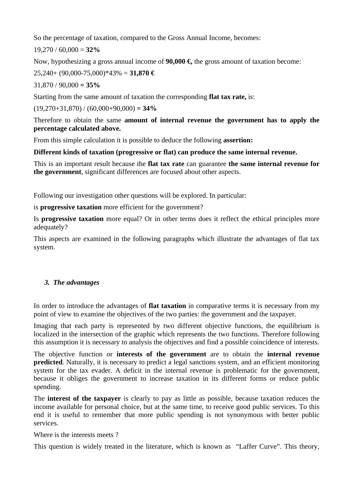So the percentage of taxation, compared to the Gross Annual Income, becomes:

19,270 / 60,000 = **32%**

Now, hypothesizing a gross annual income of **90,000 €,** the gross amount of taxation become:

25,240+ (90,000-75,000)\*43% = **31,870 €**

31,870 / 90,000 **= 35%** 

Starting from the same amount of taxation the corresponding **flat tax rate,** is:

 $(19,270+31,870) / (60,000+90,000) = 34\%$ 

Therefore to obtain the same **amount of internal revenue the government has to apply the percentage calculated above.**

From this simple calculation it is possible to deduce the following **assertion:**

**Different kinds of taxation (progressive or flat) can produce the same internal revenue.**

This is an important result because the **flat tax rate** can guarantee **the same internal revenue for the government**, significant differences are focused about other aspects.

Following our investigation other questions will be explored. In particular:

is **progressive taxation** more efficient for the government?

Is **progressive taxation** more equal? Or in other terms does it reflect the ethical principles more adequately?

This aspects are examined in the following paragraphs which illustrate the advantages of flat tax system.

#### *3. The advantages*

In order to introduce the advantages of **flat taxation** in comparative terms it is necessary from my point of view to examine the objectives of the two parties: the government and the taxpayer.

Imaging that each party is represented by two different objective functions, the equilibrium is localized in the intersection of the graphic which represents the two functions. Therefore following this assumption it is necessary to analysis the objectives and find a possible coincidence of interests.

The objective function or **interests of the government** are to obtain the **internal revenue predicted**. Naturally, it is necessary to predict a legal sanctions system, and an efficient monitoring system for the tax evader. A deficit in the internal revenue is problematic for the government, because it obliges the government to increase taxation in its different forms or reduce public spending.

The **interest of the taxpayer** is clearly to pay as little as possible, because taxation reduces the income available for personal choice, but at the same time, to receive good public services. To this end it is useful to remember that more public spending is not synonymous with better public services.

Where is the interests meets ?

This question is widely treated in the literature, which is known as "Laffer Curve". This theory,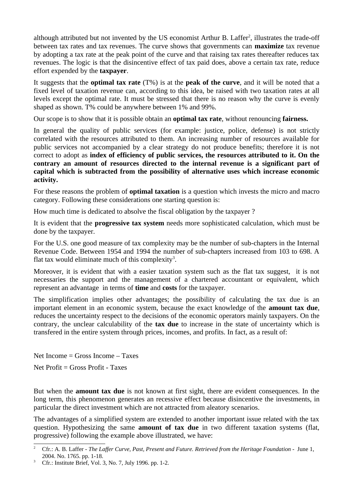although attributed but not invented by the US economist Arthur B. Laffer<sup>2</sup>, illustrates the trade-off between tax rates and tax revenues. The curve shows that governments can **maximize** tax revenue by adopting a tax rate at the peak point of the curve and that raising tax rates thereafter reduces tax revenues. The logic is that the disincentive effect of tax paid does, above a certain tax rate, reduce effort expended by the **taxpayer**.

It suggests that the **optimal tax rate** (T%) is at the **peak of the curve**, and it will be noted that a fixed level of taxation revenue can, according to this idea, be raised with two taxation rates at all levels except the optimal rate. It must be stressed that there is no reason why the curve is evenly shaped as shown. T% could be anywhere between 1% and 99%.

Our scope is to show that it is possible obtain an **optimal tax rate**, without renouncing **fairness.**

In general the quality of public services (for example: justice, police, defense) is not strictly correlated with the resources attributed to them. An increasing number of resources available for public services not accompanied by a clear strategy do not produce benefits; therefore it is not correct to adopt as **index of efficiency of public services, the resources attributed to it. On the contrary an amount of resources directed to the internal revenue is a significant part of capital which is subtracted from the possibility of alternative uses which increase economic activity.**

For these reasons the problem of **optimal taxation** is a question which invests the micro and macro category. Following these considerations one starting question is:

How much time is dedicated to absolve the fiscal obligation by the taxpayer ?

It is evident that the **progressive tax system** needs more sophisticated calculation, which must be done by the taxpayer.

For the U.S. one good measure of tax complexity may be the number of sub-chapters in the Internal Revenue Code. Between 1954 and 1994 the number of sub-chapters increased from 103 to 698. A flat tax would eliminate much of this complexity<sup>3</sup>.

Moreover, it is evident that with a easier taxation system such as the flat tax suggest, it is not necessaries the support and the management of a chartered accountant or equivalent, which represent an advantage in terms of **time** and **costs** for the taxpayer.

The simplification implies other advantages; the possibility of calculating the tax due is an important element in an economic system, because the exact knowledge of the **amount tax due**, reduces the uncertainty respect to the decisions of the economic operators mainly taxpayers. On the contrary, the unclear calculability of the **tax due** to increase in the state of uncertainty which is transfered in the entire system through prices, incomes, and profits. In fact, as a result of:

 $Net Income = Grass Income - Taxes$ 

Net Profit = Gross Profit - Taxes

But when the **amount tax due** is not known at first sight, there are evident consequences. In the long term, this phenomenon generates an recessive effect because disincentive the investments, in particular the direct investment which are not attracted from aleatory scenarios.

The advantages of a simplified system are extended to another important issue related with the tax question. Hypothesizing the same **amount of tax due** in two different taxation systems (flat, progressive) following the example above illustrated, we have:

<sup>2</sup> Cfr.: A. B. Laffer - *The Laffer Curve, Past, Present and Future. Retrieved from the Heritage Foundation -* June 1, 2004. No. 1765. pp. 1-18.

 $3$  Cfr.: Institute Brief, Vol. 3, No. 7, July 1996. pp. 1-2.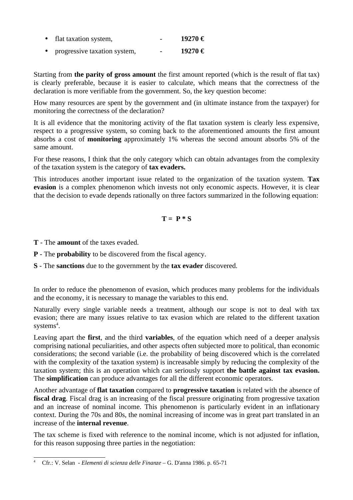| $\bullet$ | flat taxation system, | 19270€ |
|-----------|-----------------------|--------|
|           |                       |        |

• progressive taxation system, - **19270 €**

Starting from **the parity of gross amount** the first amount reported (which is the result of flat tax) is clearly preferable, because it is easier to calculate, which means that the correctness of the declaration is more verifiable from the government. So, the key question become:

How many resources are spent by the government and (in ultimate instance from the taxpayer) for monitoring the correctness of the declaration?

It is all evidence that the monitoring activity of the flat taxation system is clearly less expensive, respect to a progressive system, so coming back to the aforementioned amounts the first amount absorbs a cost of **monitoring** approximately 1% whereas the second amount absorbs 5% of the same amount.

For these reasons, I think that the only category which can obtain advantages from the complexity of the taxation system is the category of **tax evaders.** 

This introduces another important issue related to the organization of the taxation system. **Tax evasion** is a complex phenomenon which invests not only economic aspects. However, it is clear that the decision to evade depends rationally on three factors summarized in the following equation:

#### $T = P * S$

**T** - The **amount** of the taxes evaded.

- **P** The **probability** to be discovered from the fiscal agency.
- **S** The **sanctions** due to the government by the **tax evader** discovered.

In order to reduce the phenomenon of evasion, which produces many problems for the individuals and the economy, it is necessary to manage the variables to this end.

Naturally every single variable needs a treatment, although our scope is not to deal with tax evasion; there are many issues relative to tax evasion which are related to the different taxation systems $\rm ^4.$ 

Leaving apart the **first**, and the third **variables**, of the equation which need of a deeper analysis comprising national peculiarities, and other aspects often subjected more to political, than economic considerations; the second variable (i.e. the probability of being discovered which is the correlated with the complexity of the taxation system) is increasable simply by reducing the complexity of the taxation system; this is an operation which can seriously support **the battle against tax evasion.**  The **simplification** can produce advantages for all the different economic operators.

Another advantage of **flat taxation** compared to **progressive taxation** is related with the absence of **fiscal drag**. Fiscal drag is an increasing of the fiscal pressure originating from progressive taxation and an increase of nominal income. This phenomenon is particularly evident in an inflationary context. During the 70s and 80s, the nominal increasing of income was in great part translated in an increase of the **internal revenue**.

The tax scheme is fixed with reference to the nominal income, which is not adjusted for inflation, for this reason supposing three parties in the negotiation:

<sup>4</sup> Cfr.: V. Selan - *Elementi di scienza delle Finanze* – G. D'anna 1986. p. 65-71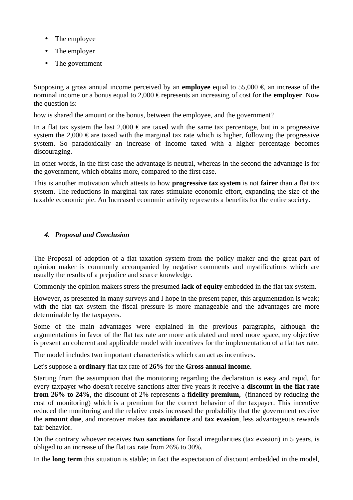- The employee
- The employer
- The government

Supposing a gross annual income perceived by an **employee** equal to 55,000 €, an increase of the nominal income or a bonus equal to 2,000 € represents an increasing of cost for the **employer**. Now the question is:

how is shared the amount or the bonus, between the employee, and the government?

In a flat tax system the last 2,000  $\epsilon$  are taxed with the same tax percentage, but in a progressive system the 2,000  $\epsilon$  are taxed with the marginal tax rate which is higher, following the progressive system. So paradoxically an increase of income taxed with a higher percentage becomes discouraging.

In other words, in the first case the advantage is neutral, whereas in the second the advantage is for the government, which obtains more, compared to the first case.

This is another motivation which attests to how **progressive tax system** is not **fairer** than a flat tax system. The reductions in marginal tax rates stimulate economic effort, expanding the size of the taxable economic pie. An Increased economic activity represents a benefits for the entire society.

#### *4. Proposal and Conclusion*

The Proposal of adoption of a flat taxation system from the policy maker and the great part of opinion maker is commonly accompanied by negative comments and mystifications which are usually the results of a prejudice and scarce knowledge.

Commonly the opinion makers stress the presumed **lack of equity** embedded in the flat tax system.

However, as presented in many surveys and I hope in the present paper, this argumentation is weak; with the flat tax system the fiscal pressure is more manageable and the advantages are more determinable by the taxpayers.

Some of the main advantages were explained in the previous paragraphs, although the argumentations in favor of the flat tax rate are more articulated and need more space, my objective is present an coherent and applicable model with incentives for the implementation of a flat tax rate.

The model includes two important characteristics which can act as incentives.

Let's suppose a **ordinary** flat tax rate of **26%** for the **Gross annual income**.

Starting from the assumption that the monitoring regarding the declaration is easy and rapid, for every taxpayer who doesn't receive sanctions after five years it receive a **discount in the flat rate from 26% to 24%**, the discount of 2% represents a **fidelity premium,** (financed by reducing the cost of monitoring) which is a premium for the correct behavior of the taxpayer. This incentive reduced the monitoring and the relative costs increased the probability that the government receive the **amount due**, and moreover makes **tax avoidance** and **tax evasion**, less advantageous rewards fair behavior.

On the contrary whoever receives **two sanctions** for fiscal irregularities (tax evasion) in 5 years, is obliged to an increase of the flat tax rate from 26% to 30%.

In the **long term** this situation is stable; in fact the expectation of discount embedded in the model,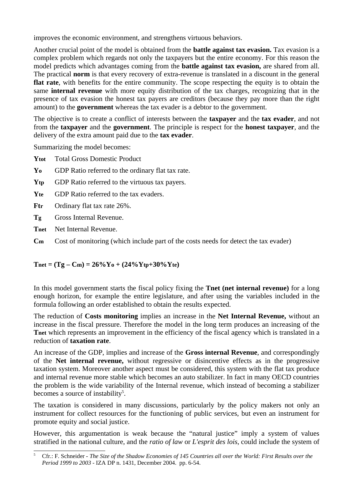improves the economic environment, and strengthens virtuous behaviors.

Another crucial point of the model is obtained from the **battle against tax evasion.** Tax evasion is a complex problem which regards not only the taxpayers but the entire economy. For this reason the model predicts which advantages coming from the **battle against tax evasion,** are shared from all. The practical **norm** is that every recovery of extra-revenue is translated in a discount in the general **flat rate**, with benefits for the entire community. The scope respecting the equity is to obtain the same **internal revenue** with more equity distribution of the tax charges, recognizing that in the presence of tax evasion the honest tax payers are creditors (because they pay more than the right amount) to the **government** whereas the tax evader is a debtor to the government.

The objective is to create a conflict of interests between the **taxpayer** and the **tax evader**, and not from the **taxpayer** and the **government**. The principle is respect for the **honest taxpayer**, and the delivery of the extra amount paid due to the **tax evader**.

Summarizing the model becomes:

- **Ytot** Total Gross Domestic Product
- **Yo** GDP Ratio referred to the ordinary flat tax rate.
- **Ytp** GDP Ratio referred to the virtuous tax payers.
- **Yte** GDP Ratio referred to the tax evaders.
- **Ftr** Ordinary flat tax rate 26%.
- **Tg** Gross Internal Revenue.
- **Tnet** Net Internal Revenue.
- **C<sub>m</sub>** Cost of monitoring (which include part of the costs needs for detect the tax evader)

#### $T_{net} = (Tg - Cm) = 26\%Y_0 + (24\%Ytp + 30\%Y_0t)$

In this model government starts the fiscal policy fixing the **Tnet (net internal revenue)** for a long enough horizon, for example the entire legislature, and after using the variables included in the formula following an order established to obtain the results expected.

The reduction of **Costs monitoring** implies an increase in the **Net Internal Revenue,** without an increase in the fiscal pressure. Therefore the model in the long term produces an increasing of the Thet which represents an improvement in the efficiency of the fiscal agency which is translated in a reduction of **taxation rate**.

An increase of the GDP, implies and increase of the **Gross internal Revenue**, and correspondingly of the **Net internal revenue,** without regressive or disincentive effects as in the progressive taxation system. Moreover another aspect must be considered, this system with the flat tax produce and internal revenue more stable which becomes an auto stabilizer. In fact in many OECD countries the problem is the wide variability of the Internal revenue, which instead of becoming a stabilizer becomes a source of instability<sup>5</sup>.

The taxation is considered in many discussions, particularly by the policy makers not only an instrument for collect resources for the functioning of public services, but even an instrument for promote equity and social justice.

However, this argumentation is weak because the "natural justice" imply a system of values stratified in the national culture, and the *ratio of law* or *L'esprit des lois*, could include the system of

<sup>5</sup> Cfr.: F. Schneider - *The Size of the Shadow Economies of 145 Countries all over the World: First Results over the Period 1999 to 2003 -* IZA DP n. 1431, December 2004. pp. 6-54.